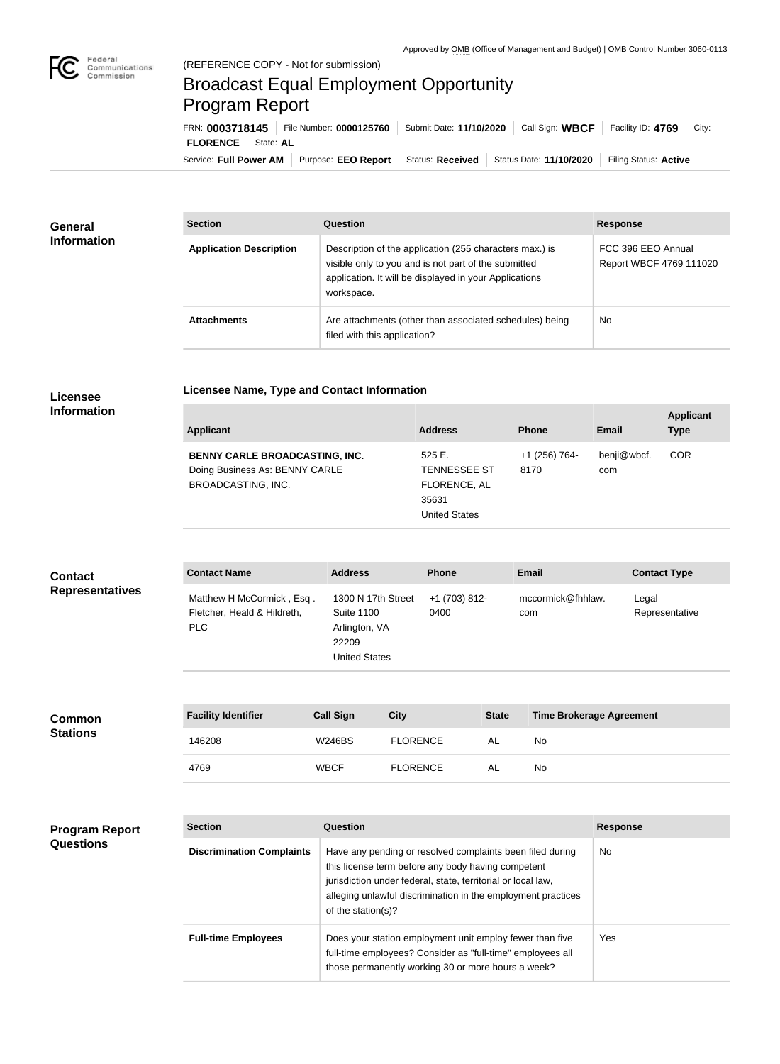

 $\overline{\phantom{a}}$ 

## Broadcast Equal Employment Opportunity Program Report

**Licensee Name, Type and Contact Information**

Service: Full Power AM | Purpose: EEO Report | Status: Received | Status Date: 11/10/2020 | Filing Status: Active **FLORENCE** State: **AL** FRN: **0003718145** File Number: **0000125760** Submit Date: **11/10/2020** Call Sign: **WBCF** Facility ID: **4769** City:

| <b>General</b><br><b>Information</b> | <b>Section</b>                 | Question                                                                                                                                                                                | <b>Response</b>                               |  |
|--------------------------------------|--------------------------------|-----------------------------------------------------------------------------------------------------------------------------------------------------------------------------------------|-----------------------------------------------|--|
|                                      | <b>Application Description</b> | Description of the application (255 characters max.) is<br>visible only to you and is not part of the submitted<br>application. It will be displayed in your Applications<br>workspace. | FCC 396 EEO Annual<br>Report WBCF 4769 111020 |  |
|                                      | <b>Attachments</b>             | Are attachments (other than associated schedules) being<br>filed with this application?                                                                                                 | No                                            |  |

## **Licensee Information**

| Applicant                                                                                     | <b>Address</b>                                                         | <b>Phone</b>          | <b>Email</b>       | <b>Applicant</b><br><b>Type</b> |
|-----------------------------------------------------------------------------------------------|------------------------------------------------------------------------|-----------------------|--------------------|---------------------------------|
| BENNY CARLE BROADCASTING, INC.<br>Doing Business As: BENNY CARLE<br><b>BROADCASTING, INC.</b> | 525E.<br><b>TENNESSEE ST</b><br>FLORENCE, AL<br>35631<br>United States | +1 (256) 764-<br>8170 | benji@wbcf.<br>com | <b>COR</b>                      |

| <b>Contact</b>         | <b>Contact Name</b>                                              | <b>Address</b>                                                                            | <b>Phone</b>          | <b>Email</b>             | <b>Contact Type</b>     |
|------------------------|------------------------------------------------------------------|-------------------------------------------------------------------------------------------|-----------------------|--------------------------|-------------------------|
| <b>Representatives</b> | Matthew H McCormick, Esq.<br>Fletcher, Heald & Hildreth,<br>PLC. | 1300 N 17th Street<br><b>Suite 1100</b><br>Arlington, VA<br>22209<br><b>United States</b> | +1 (703) 812-<br>0400 | mccormick@fhhlaw.<br>com | Legal<br>Representative |

| <b>Common</b><br><b>Stations</b> | <b>Facility Identifier</b> | <b>Call Sign</b> | City            | <b>State</b> | <b>Time Brokerage Agreement</b> |
|----------------------------------|----------------------------|------------------|-----------------|--------------|---------------------------------|
|                                  | 146208                     | <b>W246BS</b>    | <b>FLORENCE</b> | - AL         | No                              |
|                                  | 4769                       | <b>WBCF</b>      | <b>FLORENCE</b> | - AL         | No                              |

| <b>Program Report</b><br><b>Questions</b> | <b>Section</b>                   | Question                                                                                                                                                                                                                                                              | <b>Response</b> |
|-------------------------------------------|----------------------------------|-----------------------------------------------------------------------------------------------------------------------------------------------------------------------------------------------------------------------------------------------------------------------|-----------------|
|                                           | <b>Discrimination Complaints</b> | Have any pending or resolved complaints been filed during<br>this license term before any body having competent<br>jurisdiction under federal, state, territorial or local law,<br>alleging unlawful discrimination in the employment practices<br>of the station(s)? | No.             |
|                                           | <b>Full-time Employees</b>       | Does your station employment unit employ fewer than five<br>full-time employees? Consider as "full-time" employees all<br>those permanently working 30 or more hours a week?                                                                                          | Yes             |